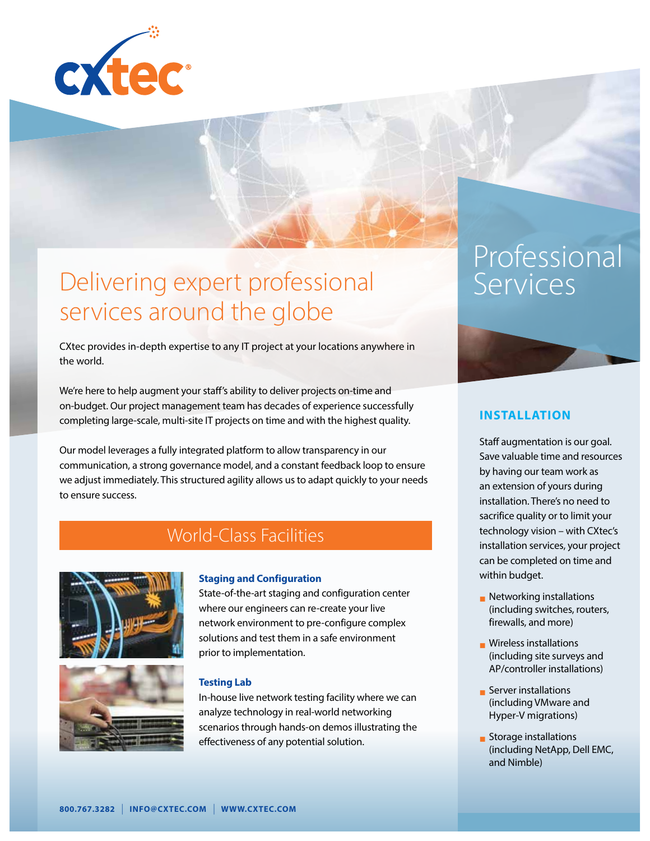

## Delivering expert professional services around the globe

CXtec provides in-depth expertise to any IT project at your locations anywhere in the world.

We're here to help augment your staff's ability to deliver projects on-time and on-budget. Our project management team has decades of experience successfully completing large-scale, multi-site IT projects on time and with the highest quality.

Our model leverages a fully integrated platform to allow transparency in our communication, a strong governance model, and a constant feedback loop to ensure we adjust immediately. This structured agility allows us to adapt quickly to your needs to ensure success.

### World-Class Facilities





#### **Staging and Configuration**

State-of-the-art staging and configuration center where our engineers can re-create your live network environment to pre-configure complex solutions and test them in a safe environment prior to implementation.

### **Testing Lab**

In-house live network testing facility where we can analyze technology in real-world networking scenarios through hands-on demos illustrating the effectiveness of any potential solution.

# Professional Services



### **INSTALLATION**

Staff augmentation is our goal. Save valuable time and resources by having our team work as an extension of yours during installation. There's no need to sacrifice quality or to limit your technology vision – with CXtec's installation services, your project can be completed on time and within budget.

- $\blacksquare$  Networking installations (including switches, routers, firewalls, and more)
- **Nireless installations** (including site surveys and AP/controller installations)
- **n** Server installations (including VMware and Hyper-V migrations)
- $\blacksquare$  Storage installations (including NetApp, Dell EMC, and Nimble)